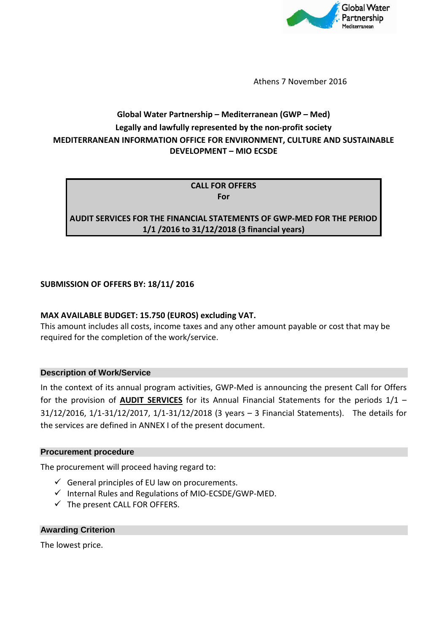

Athens 7 November 2016

# **Global Water Partnership – Mediterranean (GWP – Med) Legally and lawfully represented by the non-profit society MEDITERRANEAN INFORMATION OFFICE FOR ENVIRONMENT, CULTURE AND SUSTAINABLE DEVELOPMENT – MIO ECSDE**

**CALL FOR OFFERS For** 

**AUDIT SERVICES FOR THE FINANCIAL STATEMENTS OF GWP-MED FOR THE PERIOD 1/1 /2016 to 31/12/2018 (3 financial years)** 

### **SUBMISSION OF OFFERS BY: 18/11/ 2016**

### **MAX AVAILABLE BUDGET: 15.750 (EUROS) excluding VAT.**

This amount includes all costs, income taxes and any other amount payable or cost that may be required for the completion of the work/service.

#### **Description of Work/Service**

In the context of its annual program activities, GWP-Med is announcing the present Call for Offers for the provision of **AUDIT SERVICES** for its Annual Financial Statements for the periods 1/1 – 31/12/2016, 1/1-31/12/2017, 1/1-31/12/2018 (3 years – 3 Financial Statements). The details for the services are defined in ANNEX I of the present document.

#### **Procurement procedure**

The procurement will proceed having regard to:

- $\checkmark$  General principles of EU law on procurements.
- $\checkmark$  Internal Rules and Regulations of MIO-ECSDE/GWP-MED.
- $\checkmark$  The present CALL FOR OFFERS.

#### **Awarding Criterion**

The lowest price.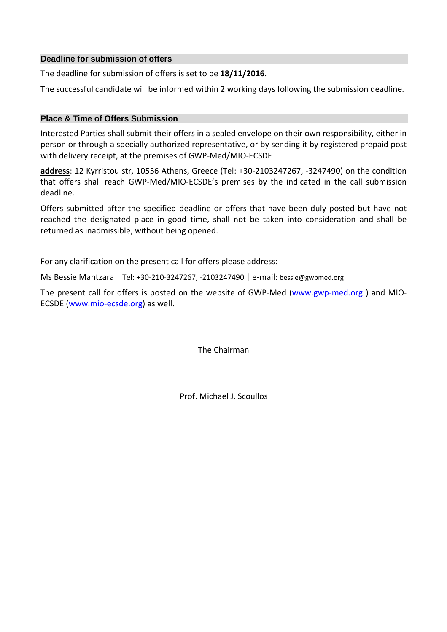#### **Deadline for submission of offers**

The deadline for submission of offers is set to be **18/11/2016**.

The successful candidate will be informed within 2 working days following the submission deadline.

#### **Place & Time of Offers Submission**

Interested Parties shall submit their offers in a sealed envelope on their own responsibility, either in person or through a specially authorized representative, or by sending it by registered prepaid post with delivery receipt, at the premises of GWP-Med/MIO-ECSDE

**address**: 12 Kyrristou str, 10556 Athens, Greece (Tel: +30-2103247267, -3247490) on the condition that offers shall reach GWP-Med/MIO-ECSDE's premises by the indicated in the call submission deadline.

Offers submitted after the specified deadline or offers that have been duly posted but have not reached the designated place in good time, shall not be taken into consideration and shall be returned as inadmissible, without being opened.

For any clarification on the present call for offers please address:

Ms Bessie Mantzara | Tel: +30-210-3247267, -2103247490 | e-mail: bessie@gwpmed.org

The present call for offers is posted on the website of GWP-Med (www.gwp-med.org ) and MIO-ECSDE (www.mio-ecsde.org) as well.

The Chairman

Prof. Michael J. Scoullos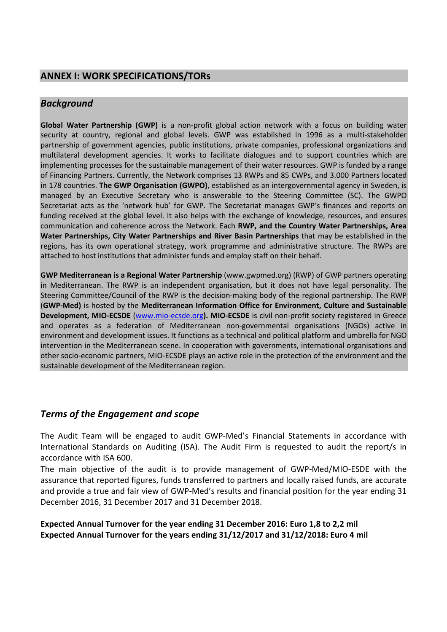# **ANNEX I: WORK SPECIFICATIONS/TORs**

### *Background*

**Global Water Partnership (GWP)** is a non-profit global action network with a focus on building water security at country, regional and global levels. GWP was established in 1996 as a multi-stakeholder partnership of government agencies, public institutions, private companies, professional organizations and multilateral development agencies. It works to facilitate dialogues and to support countries which are implementing processes for the sustainable management of their water resources. GWP is funded by a range of Financing Partners. Currently, the Network comprises 13 RWPs and 85 CWPs, and 3.000 Partners located in 178 countries. **The GWP Organisation (GWPO)**, established as an intergovernmental agency in Sweden, is managed by an Executive Secretary who is answerable to the Steering Committee (SC). The GWPO Secretariat acts as the 'network hub' for GWP. The Secretariat manages GWP's finances and reports on funding received at the global level. It also helps with the exchange of knowledge, resources, and ensures communication and coherence across the Network. Each **RWP, and the Country Water Partnerships, Area Water Partnerships, City Water Partnerships and River Basin Partnerships** that may be established in the regions, has its own operational strategy, work programme and administrative structure. The RWPs are attached to host institutions that administer funds and employ staff on their behalf.

**GWP Mediterranean is a Regional Water Partnership** (www.gwpmed.org) (RWP) of GWP partners operating in Mediterranean. The RWP is an independent organisation, but it does not have legal personality. The Steering Committee/Council of the RWP is the decision-making body of the regional partnership. The RWP (**GWP-Med)** is hosted by the **Mediterranean Information Office for Environment, Culture and Sustainable Development, MIO-ECSDE** (www.mio-ecsde.org**). MIO-ECSDE** is civil non-profit society registered in Greece and operates as a federation of Mediterranean non-governmental organisations (NGOs) active in environment and development issues. It functions as a technical and political platform and umbrella for NGO intervention in the Mediterranean scene. In cooperation with governments, international organisations and other socio-economic partners, MIO-ECSDE plays an active role in the protection of the environment and the sustainable development of the Mediterranean region.

## *Terms of the Engagement and scope*

The Audit Team will be engaged to audit GWP-Med's Financial Statements in accordance with International Standards on Auditing (ISA). The Audit Firm is requested to audit the report/s in accordance with ISA 600.

The main objective of the audit is to provide management of GWP-Med/MIO-ESDE with the assurance that reported figures, funds transferred to partners and locally raised funds, are accurate and provide a true and fair view of GWP-Med's results and financial position for the year ending 31 December 2016, 31 December 2017 and 31 December 2018.

**Expected Annual Turnover for the year ending 31 December 2016: Euro 1,8 to 2,2 mil Expected Annual Turnover for the years ending 31/12/2017 and 31/12/2018: Euro 4 mil**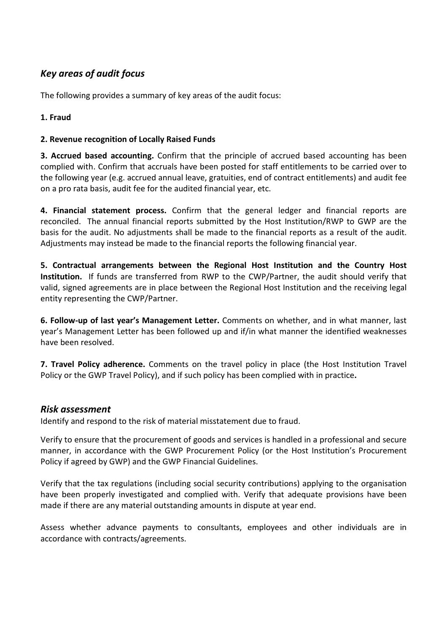# *Key areas of audit focus*

The following provides a summary of key areas of the audit focus:

### **1. Fraud**

### **2. Revenue recognition of Locally Raised Funds**

**3. Accrued based accounting.** Confirm that the principle of accrued based accounting has been complied with. Confirm that accruals have been posted for staff entitlements to be carried over to the following year (e.g. accrued annual leave, gratuities, end of contract entitlements) and audit fee on a pro rata basis, audit fee for the audited financial year, etc.

**4. Financial statement process.** Confirm that the general ledger and financial reports are reconciled. The annual financial reports submitted by the Host Institution/RWP to GWP are the basis for the audit. No adjustments shall be made to the financial reports as a result of the audit. Adjustments may instead be made to the financial reports the following financial year.

**5. Contractual arrangements between the Regional Host Institution and the Country Host Institution.** If funds are transferred from RWP to the CWP/Partner, the audit should verify that valid, signed agreements are in place between the Regional Host Institution and the receiving legal entity representing the CWP/Partner.

**6. Follow-up of last year's Management Letter.** Comments on whether, and in what manner, last year's Management Letter has been followed up and if/in what manner the identified weaknesses have been resolved.

**7. Travel Policy adherence.** Comments on the travel policy in place (the Host Institution Travel Policy or the GWP Travel Policy), and if such policy has been complied with in practice**.** 

### *Risk assessment*

Identify and respond to the risk of material misstatement due to fraud.

Verify to ensure that the procurement of goods and services is handled in a professional and secure manner, in accordance with the GWP Procurement Policy (or the Host Institution's Procurement Policy if agreed by GWP) and the GWP Financial Guidelines.

Verify that the tax regulations (including social security contributions) applying to the organisation have been properly investigated and complied with. Verify that adequate provisions have been made if there are any material outstanding amounts in dispute at year end.

Assess whether advance payments to consultants, employees and other individuals are in accordance with contracts/agreements.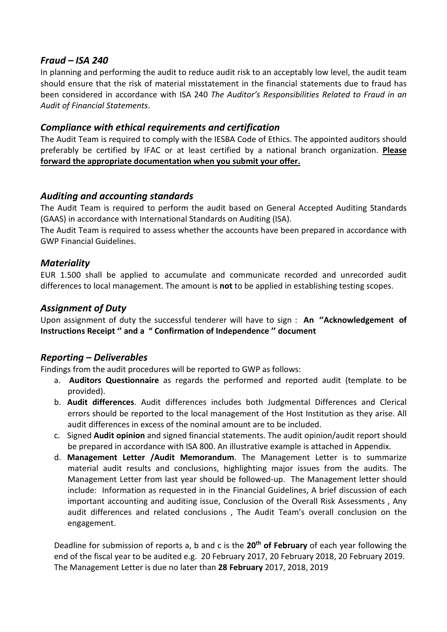## *Fraud – ISA 240*

In planning and performing the audit to reduce audit risk to an acceptably low level, the audit team should ensure that the risk of material misstatement in the financial statements due to fraud has been considered in accordance with ISA 240 *The Auditor's Responsibilities Related to Fraud in an Audit of Financial Statements*.

## *Compliance with ethical requirements and certification*

The Audit Team is required to comply with the IESBA Code of Ethics. The appointed auditors should preferably be certified by IFAC or at least certified by a national branch organization. **Please forward the appropriate documentation when you submit your offer.** 

# *Auditing and accounting standards*

The Audit Team is required to perform the audit based on General Accepted Auditing Standards (GAAS) in accordance with International Standards on Auditing (ISA).

The Audit Team is required to assess whether the accounts have been prepared in accordance with GWP Financial Guidelines.

## *Materiality*

EUR 1.500 shall be applied to accumulate and communicate recorded and unrecorded audit differences to local management. The amount is **not** to be applied in establishing testing scopes.

# *Assignment of Duty*

Upon assignment of duty the successful tenderer will have to sign : **An ''Acknowledgement of Instructions Receipt '' and a " Confirmation of Independence '' document** 

## *Reporting – Deliverables*

Findings from the audit procedures will be reported to GWP as follows:

- a. **Auditors Questionnaire** as regards the performed and reported audit (template to be provided).
- b. **Audit differences**. Audit differences includes both Judgmental Differences and Clerical errors should be reported to the local management of the Host Institution as they arise. All audit differences in excess of the nominal amount are to be included.
- c. Signed **Audit opinion** and signed financial statements. The audit opinion/audit report should be prepared in accordance with ISA 800. An illustrative example is attached in Appendix.
- d. **Management Letter /Audit Memorandum**. The Management Letter is to summarize material audit results and conclusions, highlighting major issues from the audits. The Management Letter from last year should be followed-up. The Management letter should include: Information as requested in in the Financial Guidelines, A brief discussion of each important accounting and auditing issue, Conclusion of the Overall Risk Assessments , Any audit differences and related conclusions , The Audit Team's overall conclusion on the engagement.

Deadline for submission of reports a, b and c is the **20th of February** of each year following the end of the fiscal year to be audited e.g. 20 February 2017, 20 February 2018, 20 February 2019. The Management Letter is due no later than **28 February** 2017, 2018, 2019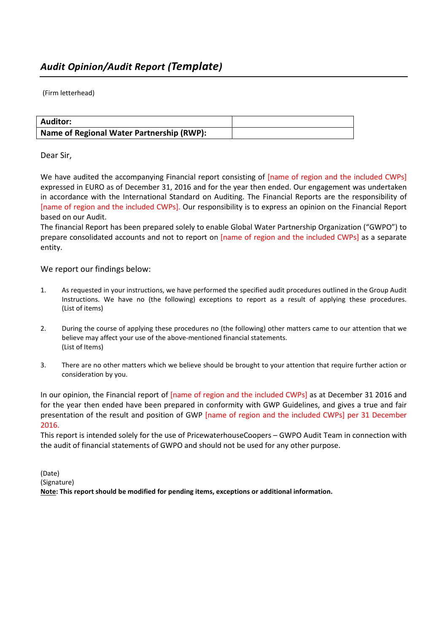(Firm letterhead)

| <b>Auditor:</b>                           |  |
|-------------------------------------------|--|
| Name of Regional Water Partnership (RWP): |  |

#### Dear Sir,

We have audited the accompanying Financial report consisting of [name of region and the included CWPs] expressed in EURO as of December 31, 2016 and for the year then ended. Our engagement was undertaken in accordance with the International Standard on Auditing. The Financial Reports are the responsibility of [name of region and the included CWPs]. Our responsibility is to express an opinion on the Financial Report based on our Audit.

The financial Report has been prepared solely to enable Global Water Partnership Organization ("GWPO") to prepare consolidated accounts and not to report on [name of region and the included CWPs] as a separate entity.

We report our findings below:

- 1. As requested in your instructions, we have performed the specified audit procedures outlined in the Group Audit Instructions. We have no (the following) exceptions to report as a result of applying these procedures. (List of items)
- 2. During the course of applying these procedures no (the following) other matters came to our attention that we believe may affect your use of the above-mentioned financial statements. (List of Items)
- 3. There are no other matters which we believe should be brought to your attention that require further action or consideration by you.

In our opinion, the Financial report of [name of region and the included CWPs] as at December 31 2016 and for the year then ended have been prepared in conformity with GWP Guidelines, and gives a true and fair presentation of the result and position of GWP [name of region and the included CWPs] per 31 December 2016.

This report is intended solely for the use of PricewaterhouseCoopers – GWPO Audit Team in connection with the audit of financial statements of GWPO and should not be used for any other purpose.

(Date) (Signature) **Note: This report should be modified for pending items, exceptions or additional information.**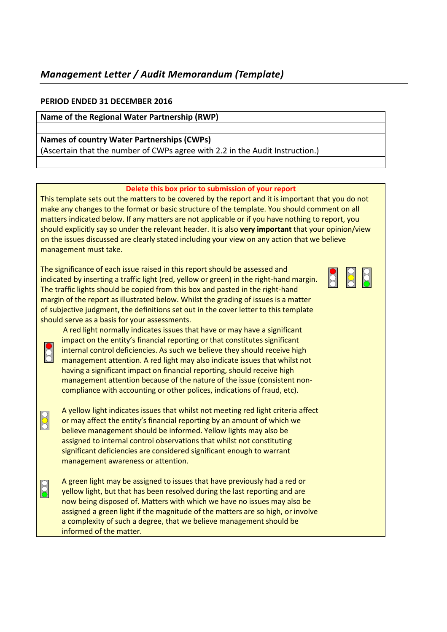# *Management Letter / Audit Memorandum (Template)*

#### **PERIOD ENDED 31 DECEMBER 2016**

#### **Name of the Regional Water Partnership (RWP)**

#### **Names of country Water Partnerships (CWPs)**  (Ascertain that the number of CWPs agree with 2.2 in the Audit Instruction.)

#### **Delete this box prior to submission of your report**

This template sets out the matters to be covered by the report and it is important that you do not make any changes to the format or basic structure of the template. You should comment on all matters indicated below. If any matters are not applicable or if you have nothing to report, you should explicitly say so under the relevant header. It is also **very important** that your opinion/view on the issues discussed are clearly stated including your view on any action that we believe management must take.

The significance of each issue raised in this report should be assessed and indicated by inserting a traffic light (red, yellow or green) in the right-hand margin. The traffic lights should be copied from this box and pasted in the right-hand margin of the report as illustrated below. Whilst the grading of issues is a matter of subjective judgment, the definitions set out in the cover letter to this template should serve as a basis for your assessments.



 A red light normally indicates issues that have or may have a significant impact on the entity's financial reporting or that constitutes significant internal control deficiencies. As such we believe they should receive high management attention. A red light may also indicate issues that whilst not having a significant impact on financial reporting, should receive high management attention because of the nature of the issue (consistent noncompliance with accounting or other polices, indications of fraud, etc).

A yellow light indicates issues that whilst not meeting red light criteria affect<br>or may affect the entity's financial reporting by an amount of which we or may affect the entity's financial reporting by an amount of which we believe management should be informed. Yellow lights may also be assigned to internal control observations that whilst not constituting significant deficiencies are considered significant enough to warrant management awareness or attention.

 $\sigma$  A green light may be assigned to issues that have previously had a red or <br>S evellow light, but that has been resolved during the last reporting and are yellow light, but that has been resolved during the last reporting and are now being disposed of. Matters with which we have no issues may also be assigned a green light if the magnitude of the matters are so high, or involve a complexity of such a degree, that we believe management should be informed of the matter.

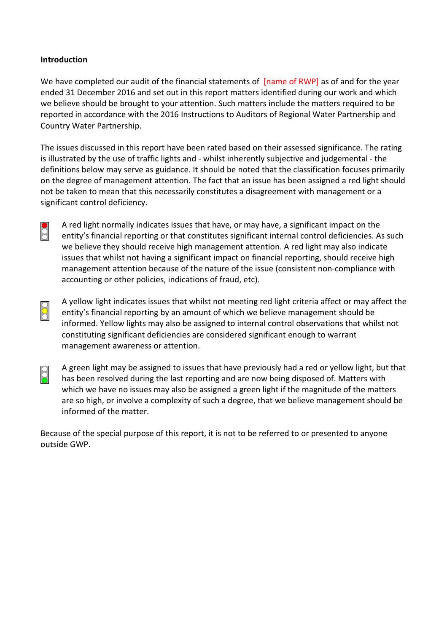### **Introduction**

We have completed our audit of the financial statements of [name of RWP] as of and for the year ended 31 December 2016 and set out in this report matters identified during our work and which we believe should be brought to your attention. Such matters include the matters required to be reported in accordance with the 2016 Instructions to Auditors of Regional Water Partnership and Country Water Partnership.

The issues discussed in this report have been rated based on their assessed significance. The rating is illustrated by the use of traffic lights and - whilst inherently subjective and judgemental - the definitions below may serve as guidance. It should be noted that the classification focuses primarily on the degree of management attention. The fact that an issue has been assigned a red light should not be taken to mean that this necessarily constitutes a disagreement with management or a significant control deficiency.

A red light normally indicates issues that have, or may have, a significant impact on the<br>entity's financial reporting or that constitutes significant internal control deficiencies. A entity's financial reporting or that constitutes significant internal control deficiencies. As such we believe they should receive high management attention. A red light may also indicate issues that whilst not having a significant impact on financial reporting, should receive high management attention because of the nature of the issue (consistent non-compliance with accounting or other policies, indications of fraud, etc).

- A yellow light indicates issues that whilst not meeting red light criteria affect or may affect the entity's financial reporting by an amount of which we believe management should be entity's financial reporting by an amount of which we believe management should be informed. Yellow lights may also be assigned to internal control observations that whilst not constituting significant deficiencies are considered significant enough to warrant management awareness or attention.
- $\beta$  A green light may be assigned to issues that have previously had a red or yellow light, but that has been resolved during the last reporting and are now being disposed of. Matters with has been resolved during the last reporting and are now being disposed of. Matters with which we have no issues may also be assigned a green light if the magnitude of the matters are so high, or involve a complexity of such a degree, that we believe management should be informed of the matter.

Because of the special purpose of this report, it is not to be referred to or presented to anyone outside GWP.